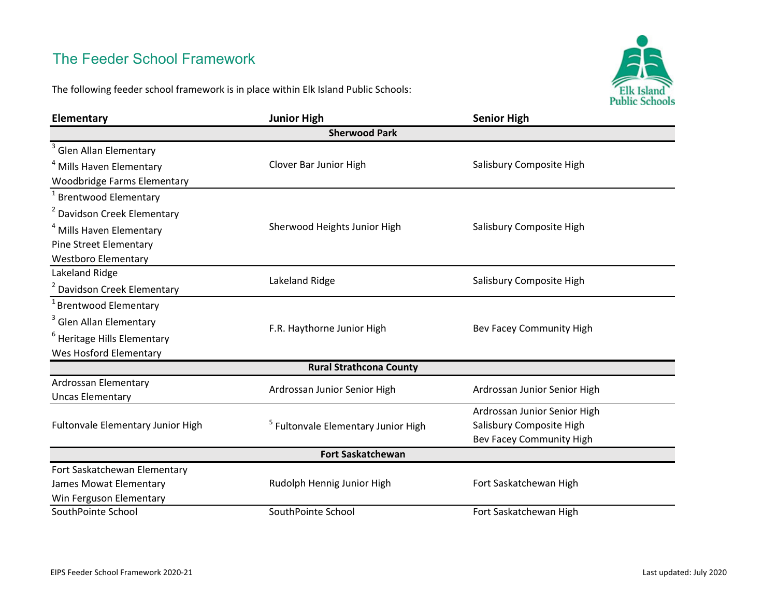## The Feeder School Framework

The following feeder school framework is in place within Elk Island Public Schools:



| Elementary                                      | <b>Junior High</b>                             | <b>Senior High</b>           |  |  |
|-------------------------------------------------|------------------------------------------------|------------------------------|--|--|
| <b>Sherwood Park</b>                            |                                                |                              |  |  |
| <sup>3</sup> Glen Allan Elementary              |                                                |                              |  |  |
| <sup>4</sup> Mills Haven Elementary             | Clover Bar Junior High                         | Salisbury Composite High     |  |  |
| <b>Woodbridge Farms Elementary</b>              |                                                |                              |  |  |
| <sup>1</sup> Brentwood Elementary               |                                                |                              |  |  |
| <sup>2</sup> Davidson Creek Elementary          |                                                |                              |  |  |
| <sup>4</sup> Mills Haven Elementary             | Sherwood Heights Junior High                   | Salisbury Composite High     |  |  |
| <b>Pine Street Elementary</b>                   |                                                |                              |  |  |
| <b>Westboro Elementary</b>                      |                                                |                              |  |  |
| Lakeland Ridge                                  | Lakeland Ridge                                 | Salisbury Composite High     |  |  |
| <sup>2</sup> Davidson Creek Elementary          |                                                |                              |  |  |
| <sup>1</sup> Brentwood Elementary               |                                                |                              |  |  |
| <sup>3</sup> Glen Allan Elementary              | F.R. Haythorne Junior High                     | Bev Facey Community High     |  |  |
| <sup>6</sup> Heritage Hills Elementary          |                                                |                              |  |  |
| Wes Hosford Elementary                          |                                                |                              |  |  |
| <b>Rural Strathcona County</b>                  |                                                |                              |  |  |
| Ardrossan Elementary<br><b>Uncas Elementary</b> | Ardrossan Junior Senior High                   | Ardrossan Junior Senior High |  |  |
| Fultonvale Elementary Junior High               | <sup>5</sup> Fultonvale Elementary Junior High | Ardrossan Junior Senior High |  |  |
|                                                 |                                                | Salisbury Composite High     |  |  |
|                                                 |                                                | Bev Facey Community High     |  |  |
| <b>Fort Saskatchewan</b>                        |                                                |                              |  |  |
| Fort Saskatchewan Elementary                    |                                                |                              |  |  |
| James Mowat Elementary                          | Rudolph Hennig Junior High                     | Fort Saskatchewan High       |  |  |
| Win Ferguson Elementary                         |                                                |                              |  |  |
| SouthPointe School                              | SouthPointe School                             | Fort Saskatchewan High       |  |  |